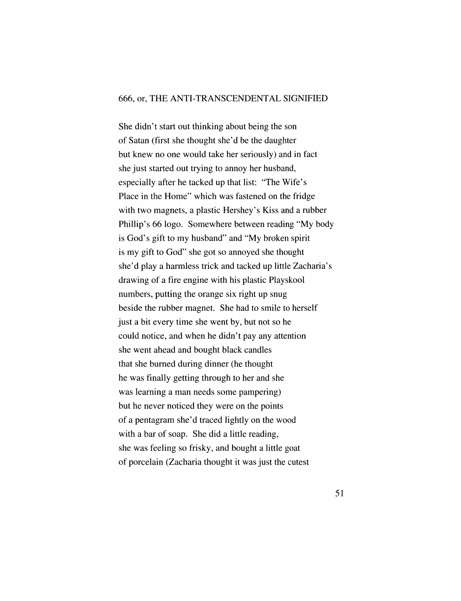## 666, or, THE ANTI-TRANSCENDENTAL SIGNIFIED

She didn't start out thinking about being the son of Satan (first she thought she'd be the daughter but knew no one would take her seriously) and in fact she just started out trying to annoy her husband, especially after he tacked up that list: "The Wife's Place in the Home" which was fastened on the fridge with two magnets, a plastic Hershey's Kiss and a rubber Phillip's 66 logo. Somewhere between reading "My body is God's gift to my husband" and "My broken spirit is my gift to God" she got so annoyed she thought she'd play a harmless trick and tacked up little Zacharia's drawing of a fire engine with his plastic Playskool numbers, putting the orange six right up snug beside the rubber magnet. She had to smile to herself just a bit every time she went by, but not so he could notice, and when he didn't pay any attention she went ahead and bought black candles that she burned during dinner (he thought he was finally getting through to her and she was learning a man needs some pampering) but he never noticed they were on the points of a pentagram she'd traced lightly on the wood with a bar of soap. She did a little reading, she was feeling so frisky, and bought a little goat of porcelain (Zacharia thought it was just the cutest